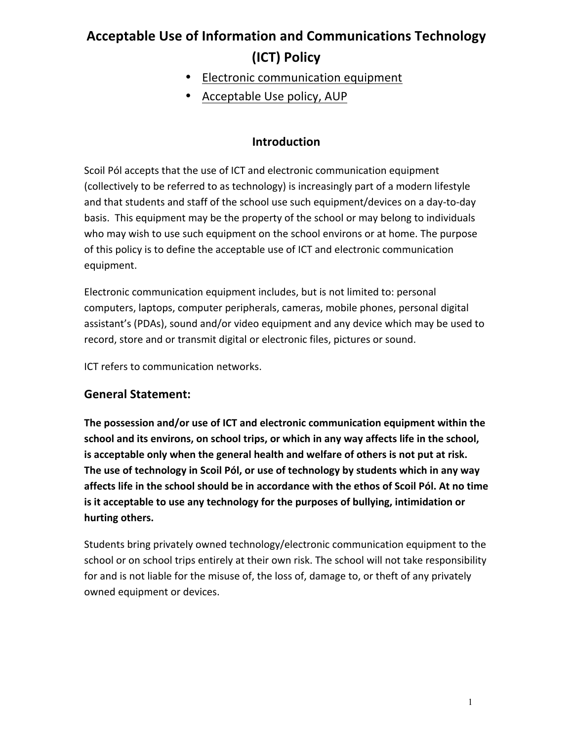# **Acceptable Use of Information and Communications Technology (ICT) Policy**

- Electronic communication equipment
- Acceptable Use policy, AUP

#### **Introduction**

Scoil Pól accepts that the use of ICT and electronic communication equipment (collectively to be referred to as technology) is increasingly part of a modern lifestyle and that students and staff of the school use such equipment/devices on a day-to-day basis. This equipment may be the property of the school or may belong to individuals who may wish to use such equipment on the school environs or at home. The purpose of this policy is to define the acceptable use of ICT and electronic communication equipment.

Electronic communication equipment includes, but is not limited to: personal computers, laptops, computer peripherals, cameras, mobile phones, personal digital assistant's (PDAs), sound and/or video equipment and any device which may be used to record, store and or transmit digital or electronic files, pictures or sound.

ICT refers to communication networks.

#### **General Statement:**

The possession and/or use of ICT and electronic communication equipment within the school and its environs, on school trips, or which in any way affects life in the school, is acceptable only when the general health and welfare of others is not put at risk. The use of technology in Scoil Pól, or use of technology by students which in any way affects life in the school should be in accordance with the ethos of Scoil Pól. At no time is it acceptable to use any technology for the purposes of bullying, intimidation or **hurting others.**

Students bring privately owned technology/electronic communication equipment to the school or on school trips entirely at their own risk. The school will not take responsibility for and is not liable for the misuse of, the loss of, damage to, or theft of any privately owned equipment or devices.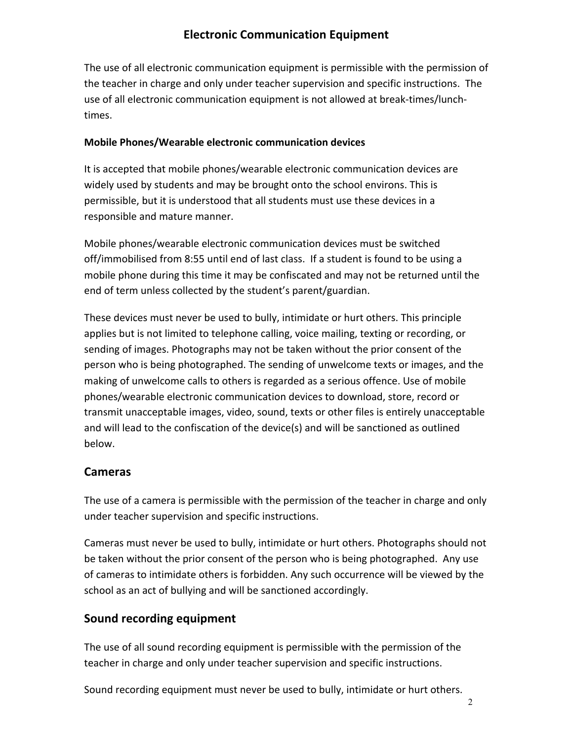## **Electronic Communication Equipment**

The use of all electronic communication equipment is permissible with the permission of the teacher in charge and only under teacher supervision and specific instructions. The use of all electronic communication equipment is not allowed at break-times/lunchtimes.

#### **Mobile Phones/Wearable electronic communication devices**

It is accepted that mobile phones/wearable electronic communication devices are widely used by students and may be brought onto the school environs. This is permissible, but it is understood that all students must use these devices in a responsible and mature manner.

Mobile phones/wearable electronic communication devices must be switched off/immobilised from 8:55 until end of last class. If a student is found to be using a mobile phone during this time it may be confiscated and may not be returned until the end of term unless collected by the student's parent/guardian.

These devices must never be used to bully, intimidate or hurt others. This principle applies but is not limited to telephone calling, voice mailing, texting or recording, or sending of images. Photographs may not be taken without the prior consent of the person who is being photographed. The sending of unwelcome texts or images, and the making of unwelcome calls to others is regarded as a serious offence. Use of mobile phones/wearable electronic communication devices to download, store, record or transmit unacceptable images, video, sound, texts or other files is entirely unacceptable and will lead to the confiscation of the device(s) and will be sanctioned as outlined below. 

#### **Cameras**

The use of a camera is permissible with the permission of the teacher in charge and only under teacher supervision and specific instructions.

Cameras must never be used to bully, intimidate or hurt others. Photographs should not be taken without the prior consent of the person who is being photographed. Any use of cameras to intimidate others is forbidden. Any such occurrence will be viewed by the school as an act of bullying and will be sanctioned accordingly.

#### **Sound recording equipment**

The use of all sound recording equipment is permissible with the permission of the teacher in charge and only under teacher supervision and specific instructions.

Sound recording equipment must never be used to bully, intimidate or hurt others.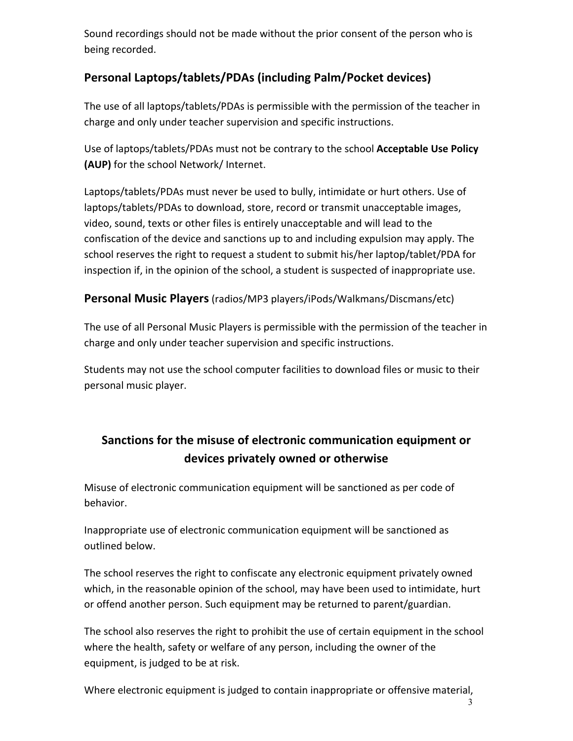Sound recordings should not be made without the prior consent of the person who is being recorded.

## **Personal Laptops/tablets/PDAs (including Palm/Pocket devices)**

The use of all laptops/tablets/PDAs is permissible with the permission of the teacher in charge and only under teacher supervision and specific instructions.

Use of laptops/tablets/PDAs must not be contrary to the school **Acceptable Use Policy (AUP)** for the school Network/ Internet.

Laptops/tablets/PDAs must never be used to bully, intimidate or hurt others. Use of laptops/tablets/PDAs to download, store, record or transmit unacceptable images, video, sound, texts or other files is entirely unacceptable and will lead to the confiscation of the device and sanctions up to and including expulsion may apply. The school reserves the right to request a student to submit his/her laptop/tablet/PDA for inspection if, in the opinion of the school, a student is suspected of inappropriate use.

#### **Personal Music Players** (radios/MP3 players/iPods/Walkmans/Discmans/etc)

The use of all Personal Music Players is permissible with the permission of the teacher in charge and only under teacher supervision and specific instructions.

Students may not use the school computer facilities to download files or music to their personal music player.

## Sanctions for the misuse of electronic communication equipment or **devices privately owned or otherwise**

Misuse of electronic communication equipment will be sanctioned as per code of behavior.

Inappropriate use of electronic communication equipment will be sanctioned as outlined below.

The school reserves the right to confiscate any electronic equipment privately owned which, in the reasonable opinion of the school, may have been used to intimidate, hurt or offend another person. Such equipment may be returned to parent/guardian.

The school also reserves the right to prohibit the use of certain equipment in the school where the health, safety or welfare of any person, including the owner of the equipment, is judged to be at risk.

Where electronic equipment is judged to contain inappropriate or offensive material,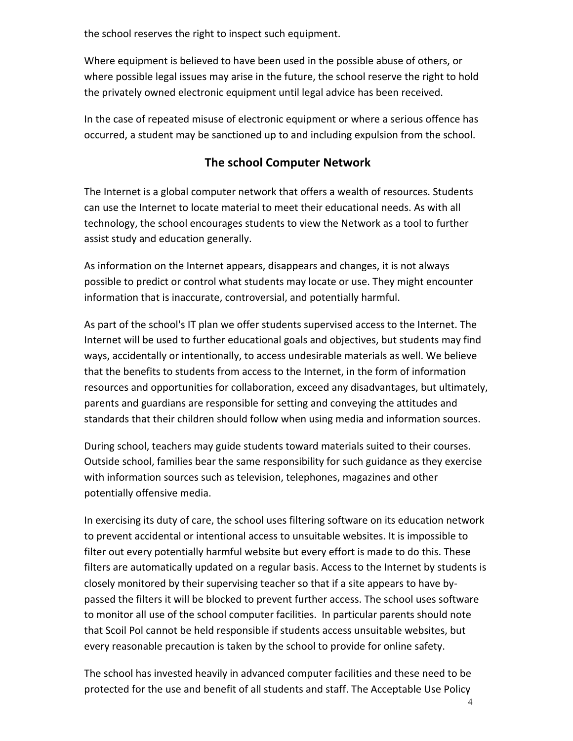the school reserves the right to inspect such equipment.

Where equipment is believed to have been used in the possible abuse of others, or where possible legal issues may arise in the future, the school reserve the right to hold the privately owned electronic equipment until legal advice has been received.

In the case of repeated misuse of electronic equipment or where a serious offence has occurred, a student may be sanctioned up to and including expulsion from the school.

## **The school Computer Network**

The Internet is a global computer network that offers a wealth of resources. Students can use the Internet to locate material to meet their educational needs. As with all technology, the school encourages students to view the Network as a tool to further assist study and education generally.

As information on the Internet appears, disappears and changes, it is not always possible to predict or control what students may locate or use. They might encounter information that is inaccurate, controversial, and potentially harmful.

As part of the school's IT plan we offer students supervised access to the Internet. The Internet will be used to further educational goals and objectives, but students may find ways, accidentally or intentionally, to access undesirable materials as well. We believe that the benefits to students from access to the Internet, in the form of information resources and opportunities for collaboration, exceed any disadvantages, but ultimately, parents and guardians are responsible for setting and conveying the attitudes and standards that their children should follow when using media and information sources.

During school, teachers may guide students toward materials suited to their courses. Outside school, families bear the same responsibility for such guidance as they exercise with information sources such as television, telephones, magazines and other potentially offensive media.

In exercising its duty of care, the school uses filtering software on its education network to prevent accidental or intentional access to unsuitable websites. It is impossible to filter out every potentially harmful website but every effort is made to do this. These filters are automatically updated on a regular basis. Access to the Internet by students is closely monitored by their supervising teacher so that if a site appears to have bypassed the filters it will be blocked to prevent further access. The school uses software to monitor all use of the school computer facilities. In particular parents should note that Scoil Pol cannot be held responsible if students access unsuitable websites, but every reasonable precaution is taken by the school to provide for online safety.

The school has invested heavily in advanced computer facilities and these need to be protected for the use and benefit of all students and staff. The Acceptable Use Policy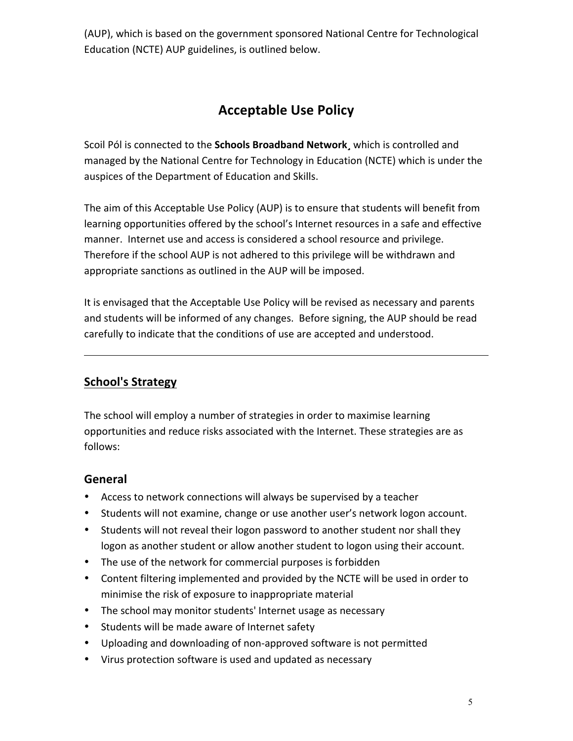(AUP), which is based on the government sponsored National Centre for Technological Education (NCTE) AUP guidelines, is outlined below.

## **Acceptable Use Policy**

Scoil Pól is connected to the **Schools Broadband Network**, which is controlled and managed by the National Centre for Technology in Education (NCTE) which is under the auspices of the Department of Education and Skills.

The aim of this Acceptable Use Policy (AUP) is to ensure that students will benefit from learning opportunities offered by the school's Internet resources in a safe and effective manner. Internet use and access is considered a school resource and privilege. Therefore if the school AUP is not adhered to this privilege will be withdrawn and appropriate sanctions as outlined in the AUP will be imposed.

It is envisaged that the Acceptable Use Policy will be revised as necessary and parents and students will be informed of any changes. Before signing, the AUP should be read carefully to indicate that the conditions of use are accepted and understood.

## **School's Strategy**

The school will employ a number of strategies in order to maximise learning opportunities and reduce risks associated with the Internet. These strategies are as follows:

#### **General**

- Access to network connections will always be supervised by a teacher
- Students will not examine, change or use another user's network logon account.
- Students will not reveal their logon password to another student nor shall they logon as another student or allow another student to logon using their account.
- The use of the network for commercial purposes is forbidden
- Content filtering implemented and provided by the NCTE will be used in order to minimise the risk of exposure to inappropriate material
- The school may monitor students' Internet usage as necessary
- Students will be made aware of Internet safety
- Uploading and downloading of non-approved software is not permitted
- Virus protection software is used and updated as necessary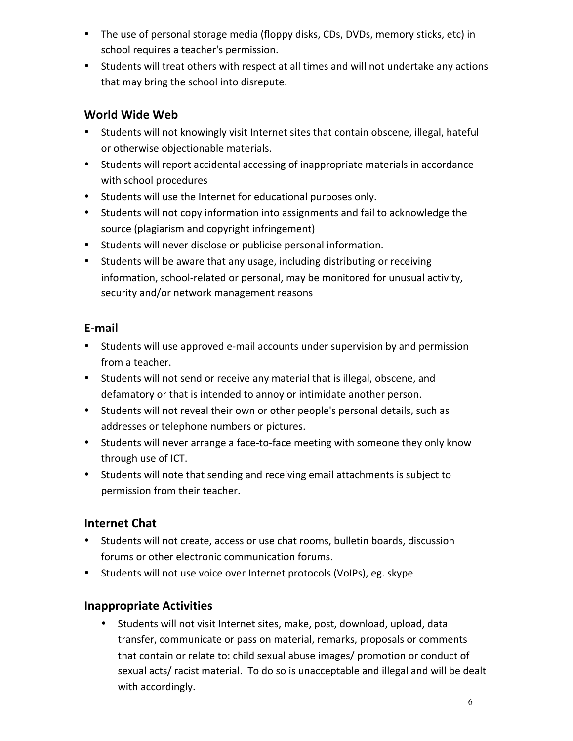- The use of personal storage media (floppy disks, CDs, DVDs, memory sticks, etc) in school requires a teacher's permission.
- Students will treat others with respect at all times and will not undertake any actions that may bring the school into disrepute.

## **World Wide Web**

- Students will not knowingly visit Internet sites that contain obscene, illegal, hateful or otherwise objectionable materials.
- Students will report accidental accessing of inappropriate materials in accordance with school procedures
- Students will use the Internet for educational purposes only.
- Students will not copy information into assignments and fail to acknowledge the source (plagiarism and copyright infringement)
- Students will never disclose or publicise personal information.
- Students will be aware that any usage, including distributing or receiving information, school-related or personal, may be monitored for unusual activity, security and/or network management reasons

## **E-mail**

- Students will use approved e-mail accounts under supervision by and permission from a teacher.
- Students will not send or receive any material that is illegal, obscene, and defamatory or that is intended to annoy or intimidate another person.
- Students will not reveal their own or other people's personal details, such as addresses or telephone numbers or pictures.
- Students will never arrange a face-to-face meeting with someone they only know through use of ICT.
- Students will note that sending and receiving email attachments is subject to permission from their teacher.

## **Internet Chat**

- Students will not create, access or use chat rooms, bulletin boards, discussion forums or other electronic communication forums.
- Students will not use voice over Internet protocols (VoIPs), eg. skype

## **Inappropriate Activities**

Students will not visit Internet sites, make, post, download, upload, data transfer, communicate or pass on material, remarks, proposals or comments that contain or relate to: child sexual abuse images/ promotion or conduct of sexual acts/ racist material. To do so is unacceptable and illegal and will be dealt with accordingly.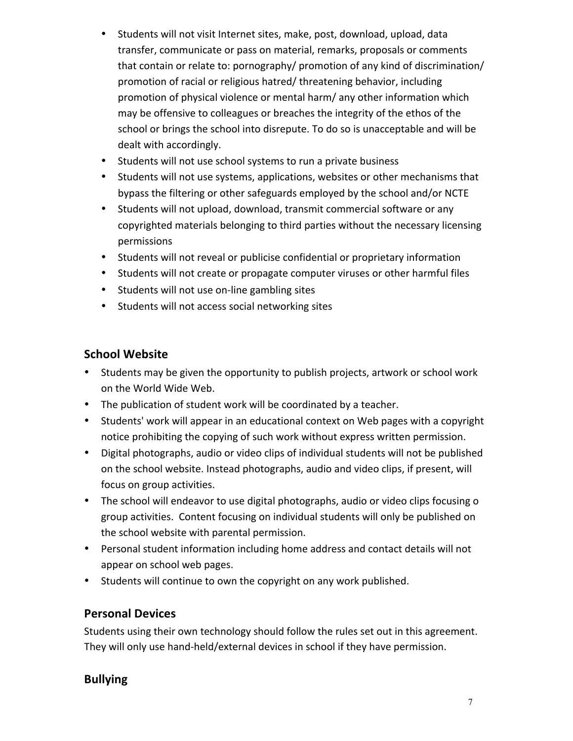- Students will not visit Internet sites, make, post, download, upload, data transfer, communicate or pass on material, remarks, proposals or comments that contain or relate to: pornography/ promotion of any kind of discrimination/ promotion of racial or religious hatred/ threatening behavior, including promotion of physical violence or mental harm/ any other information which may be offensive to colleagues or breaches the integrity of the ethos of the school or brings the school into disrepute. To do so is unacceptable and will be dealt with accordingly.
- Students will not use school systems to run a private business
- Students will not use systems, applications, websites or other mechanisms that bypass the filtering or other safeguards employed by the school and/or NCTE
- Students will not upload, download, transmit commercial software or any copyrighted materials belonging to third parties without the necessary licensing permissions
- Students will not reveal or publicise confidential or proprietary information
- Students will not create or propagate computer viruses or other harmful files
- Students will not use on-line gambling sites
- Students will not access social networking sites

## **School Website**

- Students may be given the opportunity to publish projects, artwork or school work on the World Wide Web.
- The publication of student work will be coordinated by a teacher.
- Students' work will appear in an educational context on Web pages with a copyright notice prohibiting the copying of such work without express written permission.
- Digital photographs, audio or video clips of individual students will not be published on the school website. Instead photographs, audio and video clips, if present, will focus on group activities.
- The school will endeavor to use digital photographs, audio or video clips focusing o group activities. Content focusing on individual students will only be published on the school website with parental permission.
- Personal student information including home address and contact details will not appear on school web pages.
- Students will continue to own the copyright on any work published.

## **Personal Devices**

Students using their own technology should follow the rules set out in this agreement. They will only use hand-held/external devices in school if they have permission.

## **Bullying**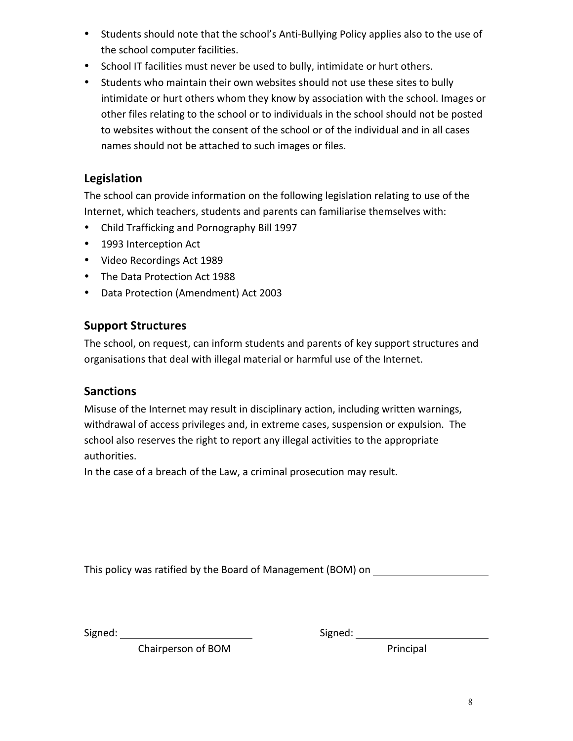- Students should note that the school's Anti-Bullying Policy applies also to the use of the school computer facilities.
- School IT facilities must never be used to bully, intimidate or hurt others.
- Students who maintain their own websites should not use these sites to bully intimidate or hurt others whom they know by association with the school. Images or other files relating to the school or to individuals in the school should not be posted to websites without the consent of the school or of the individual and in all cases names should not be attached to such images or files.

## **Legislation**

The school can provide information on the following legislation relating to use of the Internet, which teachers, students and parents can familiarise themselves with:

- Child Trafficking and Pornography Bill 1997
- 1993 Interception Act
- Video Recordings Act 1989
- The Data Protection Act 1988
- Data Protection (Amendment) Act 2003

## **Support Structures**

The school, on request, can inform students and parents of key support structures and organisations that deal with illegal material or harmful use of the Internet.

## **Sanctions**

Misuse of the Internet may result in disciplinary action, including written warnings, withdrawal of access privileges and, in extreme cases, suspension or expulsion. The school also reserves the right to report any illegal activities to the appropriate authorities.

In the case of a breach of the Law, a criminal prosecution may result.

This policy was ratified by the Board of Management (BOM) on

Signed: Signed: Signed: Signed: Signed: Signed: Signed: Signed: Signed: Signed: Signed: Signed: Signed: Signed: Signed: Signed: Signed: Signed: Signed: Signed: Signed: Signed: Signed: Signed: Signed: Signed: Signed: Signed

Chairperson of BOM **Principal**